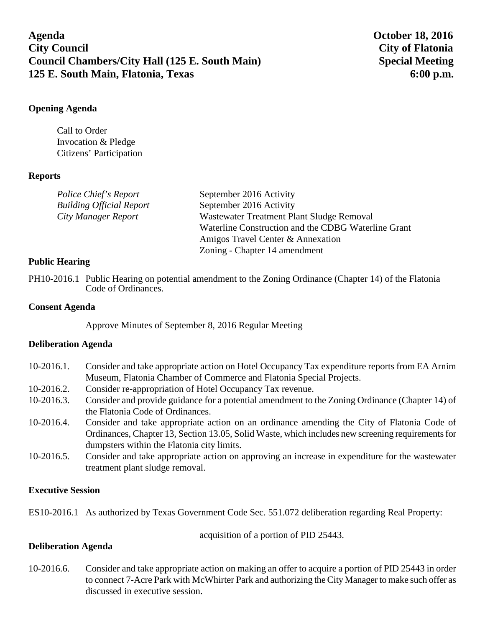# **Agenda October 18, 2016 City Council City of Flatonia Council Chambers/City Hall (125 E. South Main) Special Meeting 125 E. South Main, Flatonia, Texas 6:00 p.m.**

# **Opening Agenda**

Call to Order Invocation & Pledge Citizens' Participation

### **Reports**

| Police Chief's Report           | September 2016 Activity                             |
|---------------------------------|-----------------------------------------------------|
| <b>Building Official Report</b> | September 2016 Activity                             |
| City Manager Report             | Wastewater Treatment Plant Sludge Removal           |
|                                 | Waterline Construction and the CDBG Waterline Grant |
|                                 | Amigos Travel Center & Annexation                   |
|                                 | Zoning - Chapter 14 amendment                       |

### **Public Hearing**

PH10-2016.1 Public Hearing on potential amendment to the Zoning Ordinance (Chapter 14) of the Flatonia Code of Ordinances.

## **Consent Agenda**

Approve Minutes of September 8, 2016 Regular Meeting

#### **Deliberation Agenda**

| $10-2016.1$ . | Consider and take appropriate action on Hotel Occupancy Tax expenditure reports from EA Arnim<br>Museum, Flatonia Chamber of Commerce and Flatonia Special Projects. |
|---------------|----------------------------------------------------------------------------------------------------------------------------------------------------------------------|
| $10-2016.2$ . | Consider re-appropriation of Hotel Occupancy Tax revenue.                                                                                                            |
| $10-2016.3.$  | Consider and provide guidance for a potential amendment to the Zoning Ordinance (Chapter 14) of                                                                      |
|               | the Flatonia Code of Ordinances.                                                                                                                                     |
| $10-2016.4.$  | Consider and take appropriate action on an ordinance amending the City of Flatonia Code of                                                                           |
|               | Ordinances, Chapter 13, Section 13.05, Solid Waste, which includes new screening requirements for                                                                    |
|               | dumpsters within the Flatonia city limits.                                                                                                                           |
| $10-2016.5$ . | Consider and take appropriate action on approving an increase in expenditure for the wastewater                                                                      |
|               | treatment plant sludge removal.                                                                                                                                      |

# **Executive Session**

ES10-2016.1 As authorized by Texas Government Code Sec. 551.072 deliberation regarding Real Property:

acquisition of a portion of PID 25443.

# **Deliberation Agenda**

10-2016.6. Consider and take appropriate action on making an offer to acquire a portion of PID 25443 in order to connect 7-Acre Park with McWhirter Park and authorizing the City Manager to make such offer as discussed in executive session.